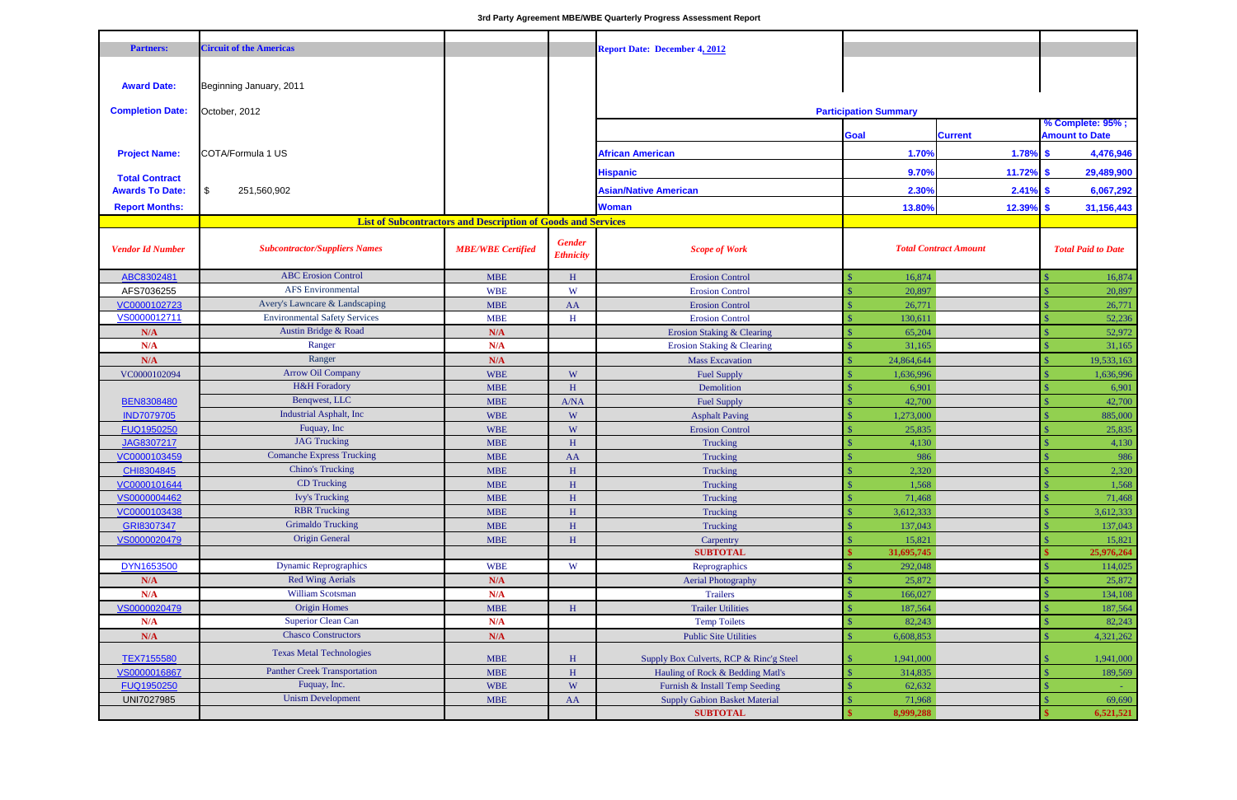| <b>Partners:</b>        | <b>Circuit of the Americas</b>                   |                                                                     |                                   |                                         |                              |                              |               |                           |  |  |
|-------------------------|--------------------------------------------------|---------------------------------------------------------------------|-----------------------------------|-----------------------------------------|------------------------------|------------------------------|---------------|---------------------------|--|--|
|                         |                                                  |                                                                     |                                   | <b>Report Date: December 4, 2012</b>    |                              |                              |               |                           |  |  |
|                         |                                                  |                                                                     |                                   |                                         |                              |                              |               |                           |  |  |
| <b>Award Date:</b>      | Beginning January, 2011                          |                                                                     |                                   |                                         |                              |                              |               |                           |  |  |
|                         |                                                  |                                                                     |                                   |                                         | <b>Participation Summary</b> |                              |               |                           |  |  |
| <b>Completion Date:</b> | October, 2012                                    |                                                                     |                                   |                                         |                              |                              |               | % Complete: 95%;          |  |  |
|                         |                                                  |                                                                     |                                   |                                         | <b>Goal</b>                  | <b>Current</b>               |               | <b>Amount to Date</b>     |  |  |
| <b>Project Name:</b>    | COTA/Formula 1 US                                |                                                                     |                                   | <b>African American</b>                 | 1.70%                        | 1.78%                        | $\mathbf{\$}$ | 4,476,946                 |  |  |
| <b>Total Contract</b>   |                                                  |                                                                     |                                   | <b>Hispanic</b>                         | 9.70%                        | 11.72%                       | -S            | 29,489,900                |  |  |
| <b>Awards To Date:</b>  | \$<br>251,560,902                                |                                                                     |                                   | <b>Asian/Native American</b>            | 2.30%                        | $2.41\%$ \$                  |               | 6,067,292                 |  |  |
| <b>Report Months:</b>   |                                                  |                                                                     |                                   | <b>Woman</b>                            | 13.80%                       | 12.39%                       | -\$           | 31,156,443                |  |  |
|                         |                                                  | <b>List of Subcontractors and Description of Goods and Services</b> |                                   |                                         |                              |                              |               |                           |  |  |
|                         |                                                  |                                                                     |                                   |                                         |                              |                              |               |                           |  |  |
| <b>Vendor Id Number</b> | <b>Subcontractor/Suppliers Names</b>             | <b>MBE/WBE Certified</b>                                            | <b>Gender</b><br><b>Ethnicity</b> | <b>Scope of Work</b>                    |                              | <b>Total Contract Amount</b> |               | <b>Total Paid to Date</b> |  |  |
| ABC8302481              | <b>ABC</b> Erosion Control                       | <b>MBE</b>                                                          | H                                 | <b>Erosion Control</b>                  | 16,874                       |                              |               | 16,874                    |  |  |
| AFS7036255              | <b>AFS</b> Environmental                         | <b>WBE</b>                                                          | W                                 | <b>Erosion Control</b>                  | 20,897                       |                              |               | 20,897                    |  |  |
| VC0000102723            | Avery's Lawncare & Landscaping                   | <b>MBE</b>                                                          | AA                                | <b>Erosion Control</b>                  | 26,771                       |                              |               | 26,771                    |  |  |
| VS0000012711            | <b>Environmental Safety Services</b>             | <b>MBE</b>                                                          | H                                 | <b>Erosion Control</b>                  | 130,611                      |                              |               | 52,236                    |  |  |
| N/A                     | Austin Bridge & Road                             | N/A                                                                 |                                   | <b>Erosion Staking &amp; Clearing</b>   |                              | 65,204                       |               | 52,972                    |  |  |
| N/A                     | Ranger                                           | N/A                                                                 |                                   | <b>Erosion Staking &amp; Clearing</b>   | 31,165                       |                              |               | 31,165                    |  |  |
| N/A                     | Ranger                                           | N/A                                                                 |                                   | <b>Mass Excavation</b>                  | 24,864,644                   |                              |               | 19,533,163                |  |  |
| VC0000102094            | <b>Arrow Oil Company</b>                         | <b>WBE</b>                                                          | W                                 | <b>Fuel Supply</b>                      | 1,636,996                    |                              |               | 1,636,996                 |  |  |
|                         | <b>H&amp;H</b> Foradory                          | <b>MBE</b>                                                          | $\mathbf H$                       | Demolition                              | 6,901                        |                              |               | 6,901                     |  |  |
| <b>BEN8308480</b>       | Benqwest, LLC                                    | <b>MBE</b>                                                          | A/NA                              | <b>Fuel Supply</b>                      | 42,700                       |                              |               | 42,700                    |  |  |
| <b>IND7079705</b>       | <b>Industrial Asphalt, Inc</b>                   | <b>WBE</b>                                                          | W                                 | <b>Asphalt Paving</b>                   | 1,273,000                    |                              |               | 885,000                   |  |  |
| FUQ1950250              | Fuquay, Inc                                      | <b>WBE</b>                                                          | W                                 | <b>Erosion Control</b>                  | 25,835                       |                              |               | 25,835                    |  |  |
| JAG8307217              | <b>JAG Trucking</b>                              | <b>MBE</b>                                                          | H                                 | Trucking                                | 4,130                        |                              |               | 4,130                     |  |  |
| VC0000103459            | <b>Comanche Express Trucking</b>                 | <b>MBE</b>                                                          | AA                                | Trucking                                | 986                          |                              |               | 986                       |  |  |
| CHI8304845              | <b>Chino's Trucking</b>                          | <b>MBE</b>                                                          | $\, {\rm H}$                      | Trucking                                | 2,320                        |                              |               | 2,320                     |  |  |
| VC0000101644            | CD Trucking                                      | $\ensuremath{\mathbf{MBE}}$                                         | $\, {\rm H}$                      | Trucking                                | 1,568                        |                              |               | 1,568                     |  |  |
| VS0000004462            | <b>Ivy's Trucking</b>                            | <b>MBE</b>                                                          | $\, {\rm H}$                      | Trucking                                | 71,468                       |                              |               | 71,468                    |  |  |
| VC0000103438            | <b>RBR</b> Trucking                              | <b>MBE</b>                                                          | $\, {\rm H}$                      | Trucking                                | 3,612,333                    |                              |               | 3,612,333                 |  |  |
| GRI8307347              | <b>Grimaldo Trucking</b>                         | <b>MBE</b>                                                          | H                                 | Trucking                                | 137,043                      |                              |               | 137,043                   |  |  |
| VS0000020479            | <b>Origin General</b>                            | <b>MBE</b>                                                          | $\, {\rm H}$                      | Carpentry                               | 15,821                       |                              |               | 15,821                    |  |  |
|                         |                                                  |                                                                     |                                   | <b>SUBTOTAL</b>                         | 31,695,745                   |                              |               | 25,976,264                |  |  |
| DYN1653500              | <b>Dynamic Reprographics</b>                     | <b>WBE</b>                                                          | W                                 | Reprographics                           | 292,048                      |                              |               | 114,025                   |  |  |
| N/A                     | <b>Red Wing Aerials</b>                          | N/A                                                                 |                                   | <b>Aerial Photography</b>               | 25,872                       |                              |               | 25,872                    |  |  |
| N/A                     | William Scotsman                                 | N/A                                                                 |                                   | <b>Trailers</b>                         | 166,027                      |                              |               | 134,108                   |  |  |
| VS0000020479            | <b>Origin Homes</b><br><b>Superior Clean Can</b> | <b>MBE</b>                                                          | H                                 | <b>Trailer Utilities</b>                | 187,564                      |                              |               | 187,564                   |  |  |
| N/A                     | <b>Chasco Constructors</b>                       | N/A                                                                 |                                   | <b>Temp Toilets</b>                     | 82,243                       |                              |               | 82,243                    |  |  |
| N/A                     |                                                  | N/A                                                                 |                                   | <b>Public Site Utilities</b>            | 6,608,853                    |                              |               | 4,321,262                 |  |  |
| TEX7155580              | <b>Texas Metal Technologies</b>                  | <b>MBE</b>                                                          | H                                 | Supply Box Culverts, RCP & Rinc'g Steel | 1,941,000                    |                              |               | 1,941,000                 |  |  |
| VS0000016867            | <b>Panther Creek Transportation</b>              | <b>MBE</b>                                                          | $\, {\rm H}$                      | Hauling of Rock & Bedding Matl's        | 314,835                      |                              |               | 189,569                   |  |  |
| FUQ1950250              | Fuquay, Inc.                                     | <b>WBE</b>                                                          | W                                 | Furnish & Install Temp Seeding          | 62,632                       |                              |               |                           |  |  |
| UNI7027985              | <b>Unism Development</b>                         | <b>MBE</b>                                                          | AA                                | <b>Supply Gabion Basket Material</b>    | 71,968                       |                              |               | 69,690                    |  |  |
|                         |                                                  |                                                                     |                                   | <b>SUBTOTAL</b>                         | 8,999,288                    |                              |               | 6,521,521                 |  |  |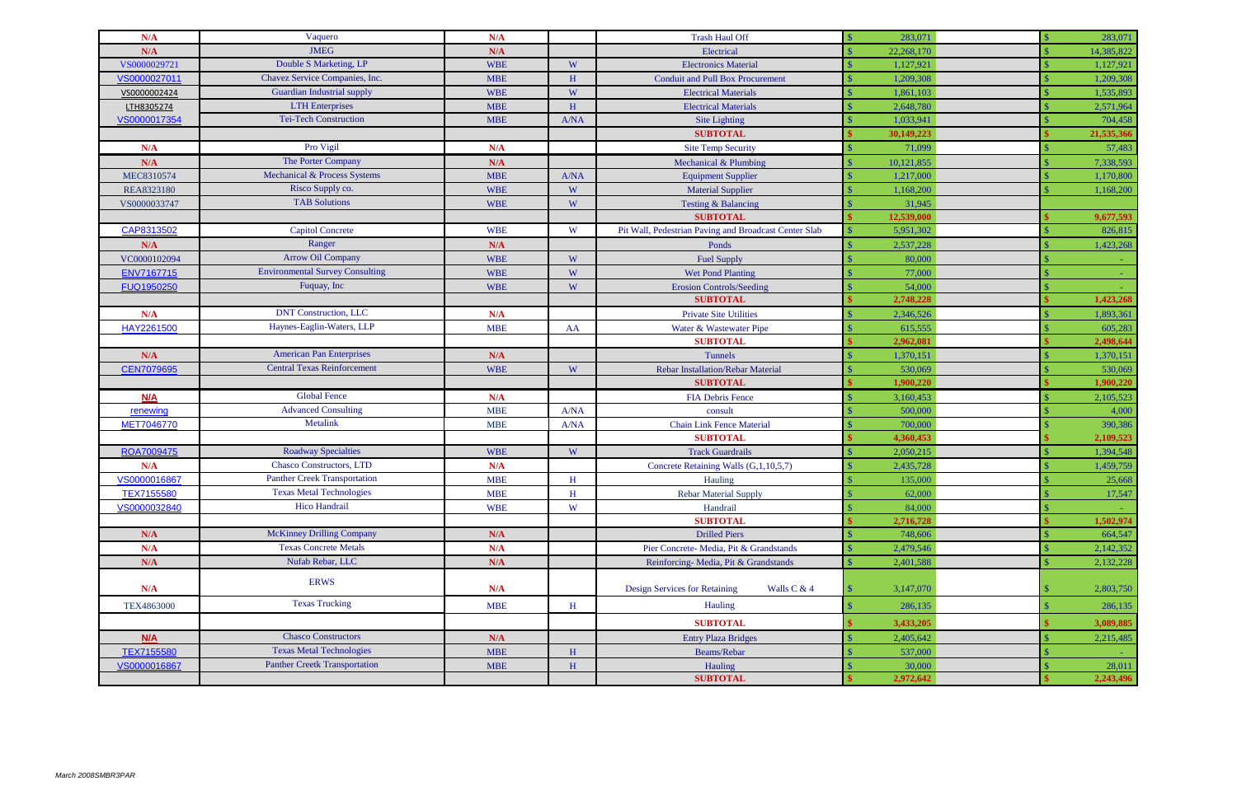| N/A               | Vaquero                                | N/A        |              | <b>Trash Haul Off</b>                                 | 283,071    |        | 283,071    |
|-------------------|----------------------------------------|------------|--------------|-------------------------------------------------------|------------|--------|------------|
| N/A               | <b>JMEG</b>                            | N/A        |              | Electrical                                            | 22,268,170 |        | 14,385,822 |
| VS0000029721      | Double S Marketing, LP                 | <b>WBE</b> | W            | <b>Electronics Material</b>                           | 1,127,921  |        | 1,127,921  |
| VS0000027011      | Chavez Service Companies, Inc.         | <b>MBE</b> | H            | <b>Conduit and Pull Box Procurement</b>               | 1,209,308  |        | 1,209,308  |
| VS0000002424      | <b>Guardian Industrial supply</b>      | <b>WBE</b> | W            | <b>Electrical Materials</b>                           | 1,861,103  |        | 1,535,893  |
| LTH8305274        | <b>LTH</b> Enterprises                 | <b>MBE</b> | H            | <b>Electrical Materials</b>                           | 2,648,780  |        | 2,571,964  |
| VS0000017354      | <b>Tei-Tech Construction</b>           | <b>MBE</b> | A/NA         | Site Lighting                                         | 1,033,941  |        | 704,458    |
|                   |                                        |            |              | <b>SUBTOTAL</b>                                       | 30,149,223 |        | 21,535,366 |
| N/A               | Pro Vigil                              | N/A        |              | <b>Site Temp Security</b>                             |            | 71,099 | 57,483     |
| N/A               | The Porter Company                     | N/A        |              | Mechanical & Plumbing                                 | 10,121,855 |        | 7,338,593  |
| MEC8310574        | Mechanical & Process Systems           | <b>MBE</b> | A/NA         | <b>Equipment Supplier</b>                             | 1,217,000  |        | 1,170,800  |
| REA8323180        | Risco Supply co.                       | <b>WBE</b> | W            | <b>Material Supplier</b>                              | 1,168,200  |        | 1,168,200  |
| VS0000033747      | <b>TAB Solutions</b>                   | <b>WBE</b> | W            | Testing & Balancing                                   |            | 31,945 |            |
|                   |                                        |            |              | <b>SUBTOTAL</b>                                       | 12,539,000 |        | 9,677,593  |
| CAP8313502        | <b>Capitol Concrete</b>                | <b>WBE</b> | W            | Pit Wall, Pedestrian Paving and Broadcast Center Slab | 5,951,302  |        | 826,815    |
| N/A               | Ranger                                 | N/A        |              | Ponds                                                 | 2,537,228  |        | 1,423,268  |
| VC0000102094      | <b>Arrow Oil Company</b>               | <b>WBE</b> | W            | <b>Fuel Supply</b>                                    |            | 80,000 |            |
| ENV7167715        | <b>Environmental Survey Consulting</b> | <b>WBE</b> | W            | <b>Wet Pond Planting</b>                              |            | 77,000 |            |
| FUQ1950250        | Fuquay, Inc.                           | <b>WBE</b> | W            | <b>Erosion Controls/Seeding</b>                       |            | 54,000 |            |
|                   |                                        |            |              | <b>SUBTOTAL</b>                                       | 2,748,228  |        | 1,423,268  |
| N/A               | <b>DNT Construction, LLC</b>           | N/A        |              | <b>Private Site Utilities</b>                         | 2,346,526  |        | 1,893,361  |
| HAY2261500        | Haynes-Eaglin-Waters, LLP              | <b>MBE</b> | AA           | Water & Wastewater Pipe                               | 615,555    |        | 605,283    |
|                   |                                        |            |              | <b>SUBTOTAL</b>                                       | 2,962,081  |        | 2,498,644  |
| N/A               | <b>American Pan Enterprises</b>        | N/A        |              | Tunnels                                               | 1,370,151  |        | 1,370,151  |
| <b>CEN7079695</b> | <b>Central Texas Reinforcement</b>     | <b>WBE</b> | W            | <b>Rebar Installation/Rebar Material</b>              | 530,069    |        | 530,069    |
|                   |                                        |            |              | <b>SUBTOTAL</b>                                       | 1,900,220  |        | 1,900,220  |
| N/A               | <b>Global Fence</b>                    | N/A        |              | <b>FIA Debris Fence</b>                               | 3,160,453  |        | 2,105,523  |
| renewing          | <b>Advanced Consulting</b>             | <b>MBE</b> | A/NA         | consult                                               | 500,000    |        | 4,000      |
| MET7046770        | Metalink                               | <b>MBE</b> | A/NA         | <b>Chain Link Fence Material</b>                      | 700,000    |        | 390,386    |
|                   |                                        |            |              | <b>SUBTOTAL</b>                                       | 4,360,453  |        | 2,109,523  |
| ROA7009475        | <b>Roadway Specialties</b>             | <b>WBE</b> | W            | <b>Track Guardrails</b>                               | 2,050,215  |        | 1,394,548  |
| N/A               | <b>Chasco Constructors, LTD</b>        | N/A        |              | Concrete Retaining Walls (G,1,10,5,7)                 | 2,435,728  |        | 1,459,759  |
| VS0000016867      | Panther Creek Transportation           | MBE        | $\, {\rm H}$ | Hauling                                               | 135,000    |        | 25,668     |
| TEX7155580        | <b>Texas Metal Technologies</b>        | <b>MBE</b> | H            | <b>Rebar Material Supply</b>                          |            | 62,000 | 17,547     |
| VS0000032840      | Hico Handrail                          | <b>WBE</b> | W            | Handrail                                              |            | 84,000 |            |
|                   |                                        |            |              | <b>SUBTOTAL</b>                                       | 2,716,728  |        | 1,502,974  |
| N/A               | <b>McKinney Drilling Company</b>       | N/A        |              | <b>Drilled Piers</b>                                  | 748,606    |        | 664,547    |
| N/A               | <b>Texas Concrete Metals</b>           | N/A        |              | Pier Concrete- Media, Pit & Grandstands               | 2,479,546  |        | 2,142,352  |
| N/A               | Nufab Rebar, LLC                       | N/A        |              | Reinforcing-Media, Pit & Grandstands                  | 2,401,588  |        | 2,132,228  |
| N/A               | <b>ERWS</b>                            | N/A        |              | <b>Design Services for Retaining</b><br>Walls C & 4   | 3,147,070  |        | 2,803,750  |
| TEX4863000        | <b>Texas Trucking</b>                  | <b>MBE</b> | H            | Hauling                                               | 286,135    |        | 286,135    |
|                   |                                        |            |              | <b>SUBTOTAL</b>                                       | 3,433,205  |        | 3,089,885  |
| N/A               | <b>Chasco Constructors</b>             | N/A        |              | <b>Entry Plaza Bridges</b>                            | 2,405,642  |        | 2,215,485  |
| TEX7155580        | <b>Texas Metal Technologies</b>        | <b>MBE</b> | $\, {\rm H}$ | Beams/Rebar                                           | 537,000    |        |            |
| VS0000016867      | <b>Panther Creetk Transportation</b>   | <b>MBE</b> | $\, {\rm H}$ | Hauling                                               |            | 30,000 | 28,011     |
|                   |                                        |            |              | <b>SUBTOTAL</b>                                       | 2,972,642  |        | 2,243,496  |
|                   |                                        |            |              |                                                       |            |        |            |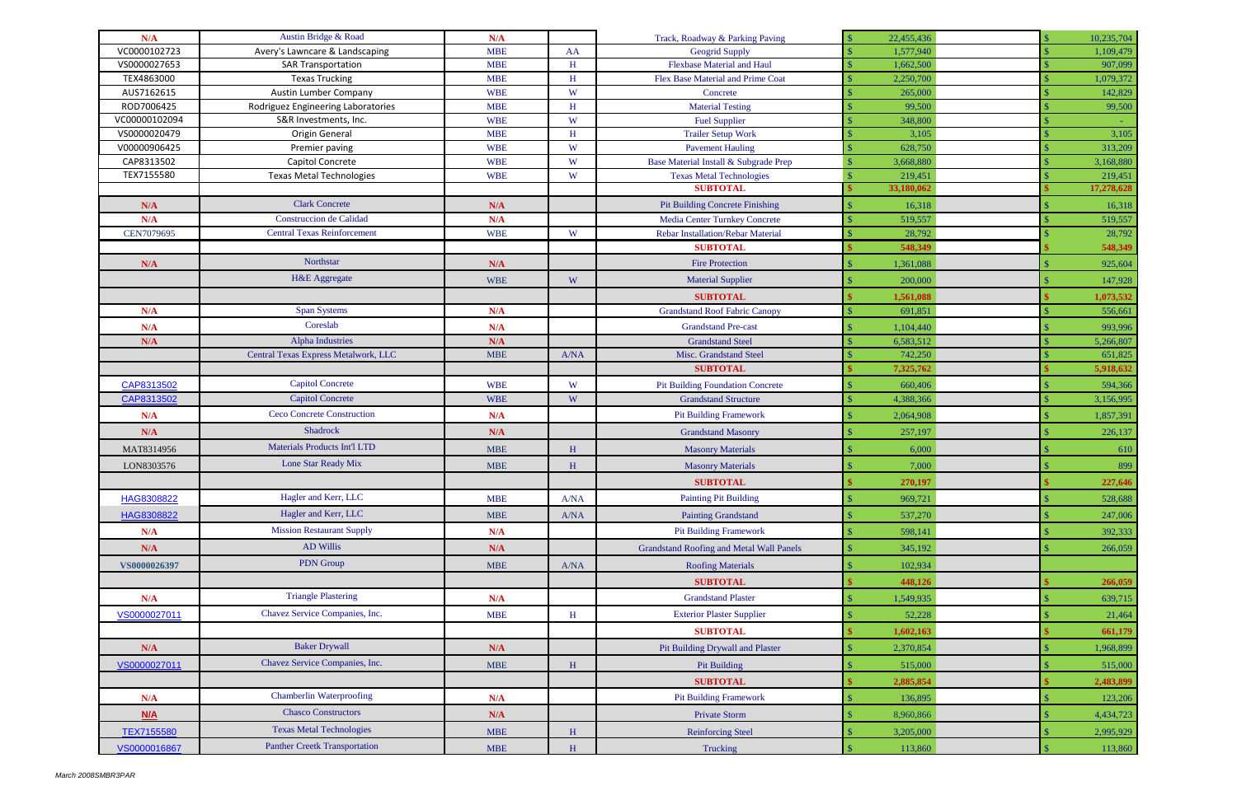| N/A           | Austin Bridge & Road                 | N/A        |              | Track, Roadway & Parking Paving                                                | 22,455,436            | 10,235,704            |
|---------------|--------------------------------------|------------|--------------|--------------------------------------------------------------------------------|-----------------------|-----------------------|
| VC0000102723  | Avery's Lawncare & Landscaping       | <b>MBE</b> | AA           | <b>Geogrid Supply</b>                                                          | 1,577,940             | 1,109,479             |
| VS0000027653  | <b>SAR Transportation</b>            | <b>MBE</b> | $\, {\rm H}$ | <b>Flexbase Material and Haul</b>                                              | 1,662,500             | 907,099               |
| TEX4863000    | <b>Texas Trucking</b>                | <b>MBE</b> | H            | Flex Base Material and Prime Coat                                              | 2,250,700             | 1,079,372             |
| AUS7162615    | Austin Lumber Company                | <b>WBE</b> | W            | Concrete                                                                       | 265,000               | 142,829               |
| ROD7006425    | Rodriguez Engineering Laboratories   | <b>MBE</b> | H            | <b>Material Testing</b>                                                        | 99,500                | 99,500                |
| VC00000102094 | S&R Investments, Inc.                | <b>WBE</b> | W            | <b>Fuel Supplier</b>                                                           | 348,800               |                       |
| VS0000020479  | Origin General                       | <b>MBE</b> | H            | <b>Trailer Setup Work</b>                                                      | 3,105                 | 3,105                 |
| V00000906425  | Premier paving                       | <b>WBE</b> | W            | <b>Pavement Hauling</b>                                                        | 628,750               | 313,209               |
| CAP8313502    | Capitol Concrete                     | <b>WBE</b> | W            | Base Material Install & Subgrade Prep                                          | 3,668,880             | 3,168,880             |
| TEX7155580    | <b>Texas Metal Technologies</b>      | <b>WBE</b> | W            | <b>Texas Metal Technologies</b><br><b>SUBTOTAL</b>                             | 219,451<br>33,180,062 | 219,451<br>17,278,628 |
|               | <b>Clark Concrete</b>                |            |              |                                                                                |                       |                       |
| N/A<br>N/A    | <b>Construccion</b> de Calidad       | N/A<br>N/A |              | <b>Pit Building Concrete Finishing</b><br><b>Media Center Turnkey Concrete</b> | 16,318<br>519,557     | 16,318                |
| CEN7079695    | <b>Central Texas Reinforcement</b>   | <b>WBE</b> | W            | <b>Rebar Installation/Rebar Material</b>                                       | 28,792                | 519,557<br>28,792     |
|               |                                      |            |              | <b>SUBTOTAL</b>                                                                | 548,349               | 548,349               |
| N/A           | Northstar                            | N/A        |              | <b>Fire Protection</b>                                                         | 1,361,088             |                       |
|               |                                      |            |              |                                                                                |                       | 925,604               |
|               | H&E Aggregate                        | <b>WBE</b> | W            | <b>Material Supplier</b>                                                       | 200,000               | 147,928               |
|               |                                      |            |              | <b>SUBTOTAL</b>                                                                | 1,561,088             | 1,073,532             |
| N/A           | <b>Span Systems</b>                  | N/A        |              | <b>Grandstand Roof Fabric Canopy</b>                                           | 691,851               | 556,661               |
| N/A           | Coreslab                             | N/A        |              | <b>Grandstand Pre-cast</b>                                                     | 1,104,440             | 993,996               |
| N/A           | <b>Alpha Industries</b>              | N/A        |              | <b>Grandstand Steel</b>                                                        | 6,583,512             | 5,266,807             |
|               | Central Texas Express Metalwork, LLC | <b>MBE</b> | A/NA         | Misc. Grandstand Steel                                                         | 742,250               | 651,825               |
|               |                                      |            |              | <b>SUBTOTAL</b>                                                                | 7,325,762             | 5,918,632             |
| CAP8313502    | <b>Capitol Concrete</b>              | <b>WBE</b> | W            | <b>Pit Building Foundation Concrete</b>                                        | 660,406               | 594,366               |
| CAP8313502    | <b>Capitol Concrete</b>              | <b>WBE</b> | W            | <b>Grandstand Structure</b>                                                    | 4,388,366             | 3,156,995             |
| N/A           | <b>Ceco Concrete Construction</b>    | N/A        |              | <b>Pit Building Framework</b>                                                  | 2,064,908             | 1,857,391             |
| N/A           | Shadrock                             | N/A        |              | <b>Grandstand Masonry</b>                                                      | 257,197               | 226,137               |
| MAT8314956    | <b>Materials Products Int'l LTD</b>  | <b>MBE</b> | $\, {\rm H}$ | <b>Masonry Materials</b>                                                       | 6,000                 | 610                   |
| LON8303576    | Lone Star Ready Mix                  | <b>MBE</b> | H            | <b>Masonry Materials</b>                                                       | 7,000                 | 899                   |
|               |                                      |            |              | <b>SUBTOTAL</b>                                                                | 270,197               | 227,646               |
| HAG8308822    | Hagler and Kerr, LLC                 | <b>MBE</b> | A/NA         | <b>Painting Pit Building</b>                                                   | 969,721               | 528,688               |
| HAG8308822    | Hagler and Kerr, LLC                 | MBE        | A/NA         | <b>Painting Grandstand</b>                                                     | 537,270               | 247,006               |
| N/A           | <b>Mission Restaurant Supply</b>     | N/A        |              | <b>Pit Building Framework</b>                                                  | 598,141               | 392,333               |
| N/A           | AD Willis                            | N/A        |              | <b>Grandstand Roofing and Metal Wall Panels</b>                                | 345,192               | 266,059               |
| VS0000026397  | PDN Group                            | <b>MBE</b> | A/NA         | <b>Roofing Materials</b>                                                       | 102,934               |                       |
|               |                                      |            |              | <b>SUBTOTAL</b>                                                                | 448,126               | 266,059               |
|               | <b>Triangle Plastering</b>           |            |              |                                                                                |                       |                       |
| N/A           |                                      | N/A        |              | <b>Grandstand Plaster</b>                                                      | 1,549,935             | 639,715               |
| VS0000027011  | Chavez Service Companies, Inc.       | <b>MBE</b> | $\, {\rm H}$ | <b>Exterior Plaster Supplier</b>                                               | 52,228                | 21,464                |
|               |                                      |            |              | <b>SUBTOTAL</b>                                                                | 1,602,163             | 661,179               |
| N/A           | <b>Baker Drywall</b>                 | N/A        |              | Pit Building Drywall and Plaster                                               | 2,370,854             | 1,968,899             |
| VS0000027011  | Chavez Service Companies, Inc.       | <b>MBE</b> | $\, {\rm H}$ | <b>Pit Building</b>                                                            | 515,000               | 515,000               |
|               |                                      |            |              | <b>SUBTOTAL</b>                                                                | 2,885,854             | 2,483,899             |
| N/A           | <b>Chamberlin Waterproofing</b>      | N/A        |              | <b>Pit Building Framework</b>                                                  | 136,895               | 123,206               |
| N/A           | <b>Chasco Constructors</b>           | N/A        |              | <b>Private Storm</b>                                                           | 8,960,866             | 4,434,723             |
| TEX7155580    | <b>Texas Metal Technologies</b>      | <b>MBE</b> | $\, {\rm H}$ | <b>Reinforcing Steel</b>                                                       | 3,205,000             | 2,995,929             |
| VS0000016867  | <b>Panther Creetk Transportation</b> | <b>MBE</b> | $\, {\rm H}$ | Trucking                                                                       | 113,860               | 113,860               |
|               |                                      |            |              |                                                                                |                       |                       |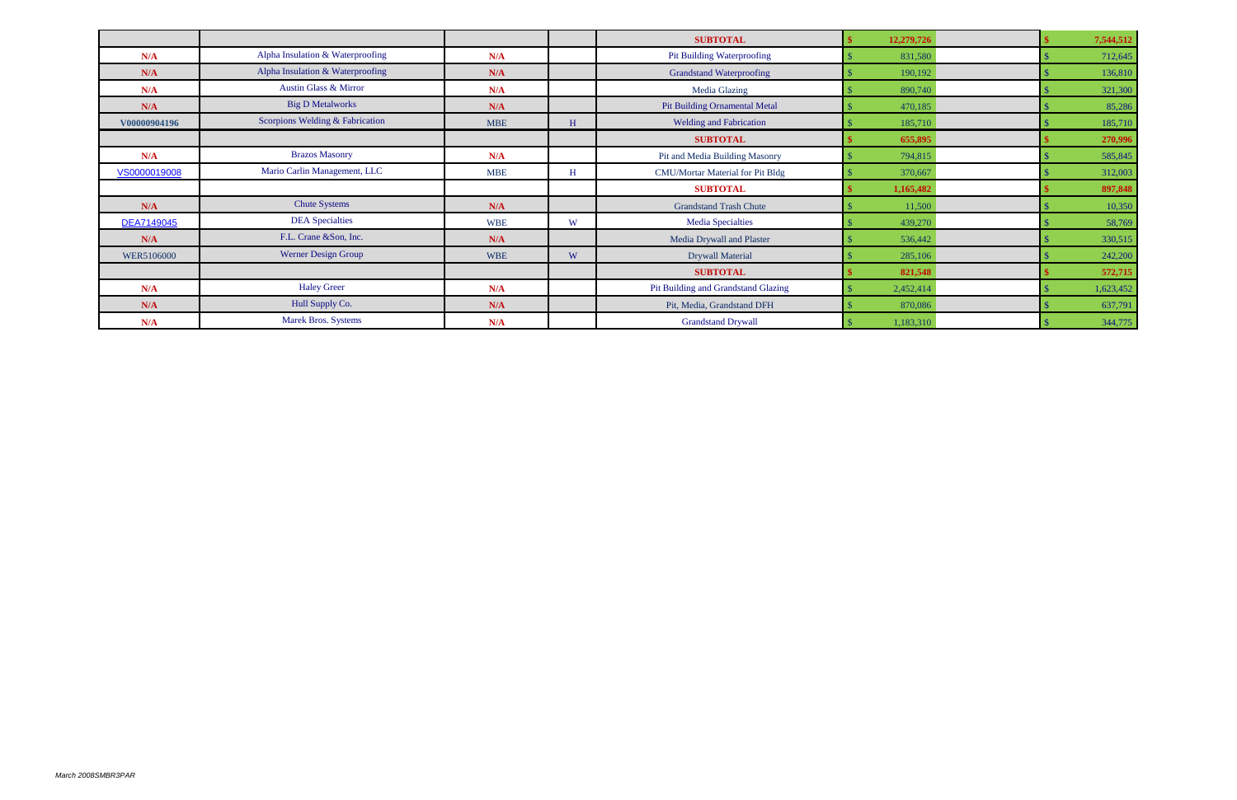|              |                                  |            |   | <b>SUBTOTAL</b>                         | 12,279,726 |  | 7,544,512 |
|--------------|----------------------------------|------------|---|-----------------------------------------|------------|--|-----------|
| N/A          | Alpha Insulation & Waterproofing | N/A        |   | <b>Pit Building Waterproofing</b>       | 831,580    |  | 712,645   |
| N/A          | Alpha Insulation & Waterproofing | N/A        |   | <b>Grandstand Waterproofing</b>         | 190,192    |  | 136,810   |
| N/A          | <b>Austin Glass &amp; Mirror</b> | N/A        |   | <b>Media Glazing</b>                    | 890,740    |  | 321,300   |
| N/A          | <b>Big D Metalworks</b>          | N/A        |   | <b>Pit Building Ornamental Metal</b>    | 470,185    |  | 85,286    |
| V00000904196 | Scorpions Welding & Fabrication  | <b>MBE</b> | H | <b>Welding and Fabrication</b>          | 185,710    |  | 185,710   |
|              |                                  |            |   | <b>SUBTOTAL</b>                         | 655,895    |  | 270,996   |
| N/A          | <b>Brazos Masonry</b>            | N/A        |   | Pit and Media Building Masonry          | 794,815    |  | 585,845   |
| VS0000019008 | Mario Carlin Management, LLC     | <b>MBE</b> | H | <b>CMU/Mortar Material for Pit Bldg</b> | 370,667    |  | 312,003   |
|              |                                  |            |   | <b>SUBTOTAL</b>                         | 1,165,482  |  | 897,848   |
| N/A          | <b>Chute Systems</b>             | N/A        |   | <b>Grandstand Trash Chute</b>           | 11,500     |  | 10,350    |
| DEA7149045   | <b>DEA</b> Specialties           | <b>WBE</b> | W | <b>Media Specialties</b>                | 439,270    |  | 58,769    |
| N/A          | F.L. Crane &Son, Inc.            | N/A        |   | Media Drywall and Plaster               | 536,442    |  | 330,515   |
| WER5106000   | Werner Design Group              | <b>WBE</b> | W | <b>Drywall Material</b>                 | 285,106    |  | 242,200   |
|              |                                  |            |   | <b>SUBTOTAL</b>                         | 821,548    |  | 572,715   |
| N/A          | <b>Haley Greer</b>               | N/A        |   | Pit Building and Grandstand Glazing     | 2,452,414  |  | 1,623,452 |
| N/A          | Hull Supply Co.                  | N/A        |   | Pit, Media, Grandstand DFH              | 870,086    |  | 637,791   |
| N/A          | <b>Marek Bros. Systems</b>       | N/A        |   | <b>Grandstand Drywall</b>               | 1,183,310  |  | 344,775   |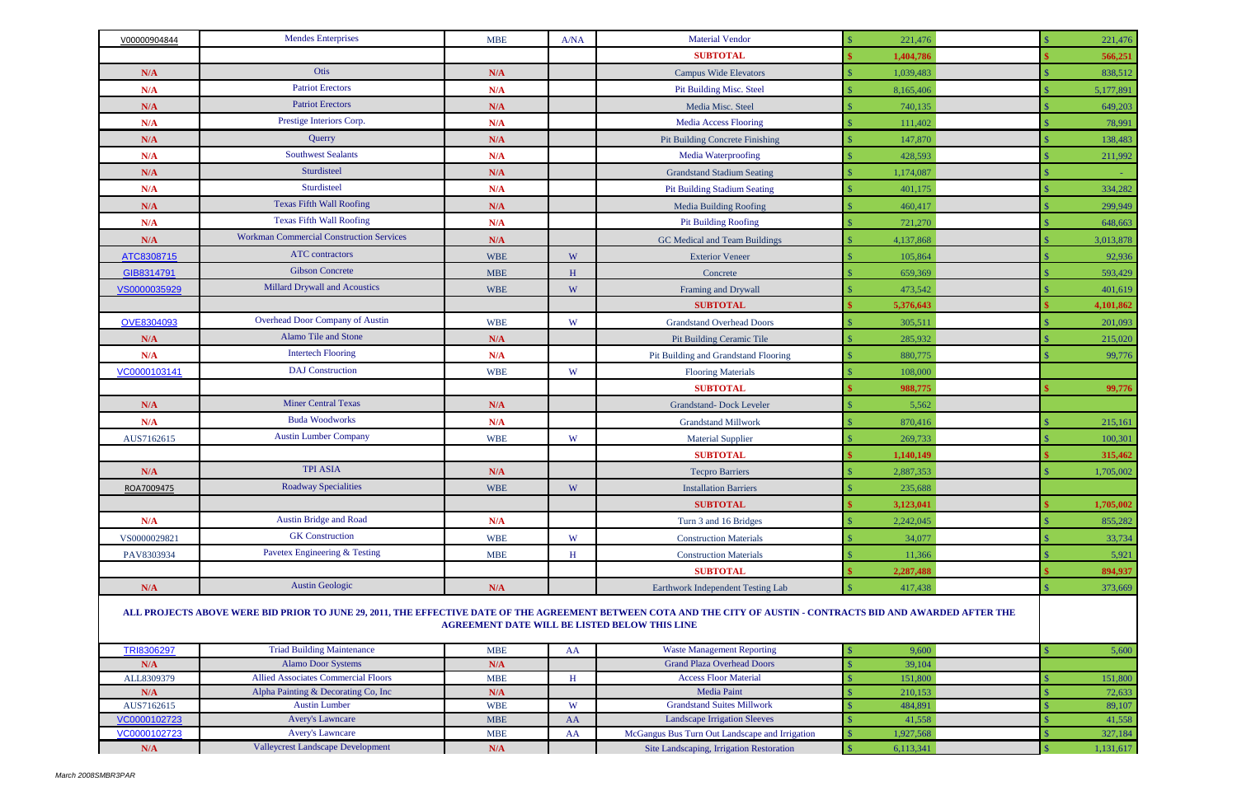| V00000904844      | <b>Mendes Enterprises</b>                                   | <b>MBE</b>                                           | A/NA         | <b>Material Vendor</b>                                                                                                                                            | 221,476                    | 221,476          |
|-------------------|-------------------------------------------------------------|------------------------------------------------------|--------------|-------------------------------------------------------------------------------------------------------------------------------------------------------------------|----------------------------|------------------|
|                   |                                                             |                                                      |              | <b>SUBTOTAL</b>                                                                                                                                                   | 1,404,786                  | 566,251          |
| N/A               | Otis                                                        | N/A                                                  |              | <b>Campus Wide Elevators</b>                                                                                                                                      | 1,039,483                  | 838,512          |
| N/A               | <b>Patriot Erectors</b>                                     | N/A                                                  |              | <b>Pit Building Misc. Steel</b>                                                                                                                                   | 8,165,406                  | 5,177,891        |
| N/A               | <b>Patriot Erectors</b>                                     | N/A                                                  |              | Media Misc. Steel                                                                                                                                                 | 740,135                    | 649,203          |
| N/A               | Prestige Interiors Corp.                                    | N/A                                                  |              | <b>Media Access Flooring</b>                                                                                                                                      | 111,402                    | 78,991           |
| N/A               | Querry                                                      | N/A                                                  |              | <b>Pit Building Concrete Finishing</b>                                                                                                                            | 147,870                    | 138,483          |
| N/A               | <b>Southwest Sealants</b>                                   | N/A                                                  |              | Media Waterproofing                                                                                                                                               | 428,593                    | 211,992          |
| N/A               | Sturdisteel                                                 | N/A                                                  |              | <b>Grandstand Stadium Seating</b>                                                                                                                                 | 1,174,087                  |                  |
| N/A               | Sturdisteel                                                 | N/A                                                  |              | <b>Pit Building Stadium Seating</b>                                                                                                                               | 401,175                    | 334,282          |
| N/A               | <b>Texas Fifth Wall Roofing</b>                             | N/A                                                  |              | <b>Media Building Roofing</b>                                                                                                                                     | 460,417                    | 299,949          |
| N/A               | <b>Texas Fifth Wall Roofing</b>                             | N/A                                                  |              | <b>Pit Building Roofing</b>                                                                                                                                       | 721,270                    | 648,663          |
| N/A               | <b>Workman Commercial Construction Services</b>             | N/A                                                  |              | GC Medical and Team Buildings                                                                                                                                     | 4,137,868                  | 3,013,878        |
| ATC8308715        | <b>ATC</b> contractors                                      | <b>WBE</b>                                           | W            | <b>Exterior Veneer</b>                                                                                                                                            | 105,864                    | 92,936           |
| GIB8314791        | <b>Gibson Concrete</b>                                      | <b>MBE</b>                                           | H            | Concrete                                                                                                                                                          | 659,369                    | 593,429          |
| VS0000035929      | Millard Drywall and Acoustics                               | <b>WBE</b>                                           | W            | Framing and Drywall                                                                                                                                               | 473,542                    | 401,619          |
|                   |                                                             |                                                      |              | <b>SUBTOTAL</b>                                                                                                                                                   | 5,376,643                  | 4,101,862        |
| OVE8304093        | Overhead Door Company of Austin                             | <b>WBE</b>                                           | W            | <b>Grandstand Overhead Doors</b>                                                                                                                                  | 305,511                    | 201,093          |
| N/A               | Alamo Tile and Stone                                        | N/A                                                  |              | Pit Building Ceramic Tile                                                                                                                                         | 285,932                    | 215,020          |
| N/A               | <b>Intertech Flooring</b>                                   | N/A                                                  |              | Pit Building and Grandstand Flooring                                                                                                                              | 880,775                    | 99,776           |
| VC0000103141      | <b>DAJ</b> Construction                                     | <b>WBE</b>                                           | W            |                                                                                                                                                                   | 108,000                    |                  |
|                   |                                                             |                                                      |              | <b>Flooring Materials</b><br><b>SUBTOTAL</b>                                                                                                                      |                            |                  |
|                   | <b>Miner Central Texas</b>                                  |                                                      |              |                                                                                                                                                                   | 988,775                    | 99,776           |
| N/A               | <b>Buda Woodworks</b>                                       | N/A                                                  |              | <b>Grandstand-Dock Leveler</b>                                                                                                                                    | 5,562                      |                  |
| N/A               | <b>Austin Lumber Company</b>                                | N/A                                                  |              | <b>Grandstand Millwork</b>                                                                                                                                        | 870,416                    | 215,161          |
| AUS7162615        |                                                             | <b>WBE</b>                                           | W            | <b>Material Supplier</b>                                                                                                                                          | 269,733                    | 100,301          |
|                   |                                                             |                                                      |              | <b>SUBTOTAL</b>                                                                                                                                                   | 1,140,149                  | 315,462          |
| N/A               | <b>TPI ASIA</b>                                             | N/A                                                  |              | <b>Tecpro Barriers</b>                                                                                                                                            | 2,887,353                  | 1,705,002        |
| ROA7009475        | <b>Roadway Specialities</b>                                 | <b>WBE</b>                                           | W            | <b>Installation Barriers</b>                                                                                                                                      | 235,688                    |                  |
|                   |                                                             |                                                      |              | <b>SUBTOTAL</b>                                                                                                                                                   | 3,123,041                  | 1,705,002        |
| N/A               | <b>Austin Bridge and Road</b>                               | N/A                                                  |              | Turn 3 and 16 Bridges                                                                                                                                             | 2,242,045                  | 855,282          |
| VS0000029821      | <b>GK</b> Construction                                      | <b>WBE</b>                                           | W            | <b>Construction Materials</b>                                                                                                                                     | 34,077                     | 33,734           |
| PAV8303934        | Pavetex Engineering & Testing                               | <b>MBE</b>                                           | H            | <b>Construction Materials</b>                                                                                                                                     | 11,366                     | 5,921            |
|                   |                                                             |                                                      |              | <b>SUBTOTAL</b>                                                                                                                                                   | 2,287,488                  | 894,937          |
| N/A               | <b>Austin Geologic</b>                                      | N/A                                                  |              | Earthwork Independent Testing Lab                                                                                                                                 | 417,438                    | 373,669          |
|                   |                                                             | <b>AGREEMENT DATE WILL BE LISTED BELOW THIS LINE</b> |              | ALL PROJECTS ABOVE WERE BID PRIOR TO JUNE 29, 2011, THE EFFECTIVE DATE OF THE AGREEMENT BETWEEN COTA AND THE CITY OF AUSTIN - CONTRACTS BID AND AWARDED AFTER THE |                            |                  |
| TRI8306297        | <b>Triad Building Maintenance</b>                           | <b>MBE</b>                                           | AA           | <b>Waste Management Reporting</b>                                                                                                                                 | 9,600                      | 5,600            |
| N/A               | <b>Alamo Door Systems</b>                                   | N/A                                                  |              | <b>Grand Plaza Overhead Doors</b>                                                                                                                                 | 39,104                     |                  |
| ALL8309379        | <b>Allied Associates Commercial Floors</b>                  | <b>MBE</b>                                           | $\, {\rm H}$ | <b>Access Floor Material</b>                                                                                                                                      | 151,800                    | 151,800          |
| N/A<br>AUS7162615 | Alpha Painting & Decorating Co, Inc<br><b>Austin Lumber</b> | N/A<br><b>WBE</b>                                    | W            | Media Paint<br><b>Grandstand Suites Millwork</b>                                                                                                                  | 210,153<br>484,891         | 72,633           |
| VC0000102723      | <b>Avery's Lawncare</b>                                     | <b>MBE</b>                                           | AA           | <b>Landscape Irrigation Sleeves</b>                                                                                                                               | 41,558                     | 89,107<br>41,558 |
| VC0000102723      | <b>Avery's Lawncare</b>                                     | <b>MBE</b>                                           | AA           | McGangus Bus Turn Out Landscape and Irrigation                                                                                                                    | 1,927,568                  | 327,184          |
| N/A               | <b>Valleycrest Landscape Development</b>                    | N/A                                                  |              | Site Landscaping, Irrigation Restoration                                                                                                                          | $\mathcal{S}$<br>6,113,341 | 1,131,617        |

| .            |                                            | -------    | .  |                                                |  |
|--------------|--------------------------------------------|------------|----|------------------------------------------------|--|
| N/A          | <b>Alamo Door Systems</b>                  | N/A        |    | <b>Grand Plaza Overhead Doors</b>              |  |
| ALL8309379   | <b>Allied Associates Commercial Floors</b> | <b>MBE</b> |    | <b>Access Floor Material</b>                   |  |
| N/A          | Alpha Painting & Decorating Co, Inc        | N/A        |    | <b>Media Paint</b>                             |  |
| AUS7162615   | <b>Austin Lumber</b>                       | <b>WBE</b> | W  | <b>Grandstand Suites Millwork</b>              |  |
| VC0000102723 | <b>Avery's Lawncare</b>                    | <b>MBE</b> | AA | <b>Landscape Irrigation Sleeves</b>            |  |
| VC0000102723 | <b>Avery's Lawncare</b>                    | <b>MBE</b> | AA | McGangus Bus Turn Out Landscape and Irrigation |  |
| N/A          | <b>Valleycrest Landscape Development</b>   | N/A        |    | Site Landscaping, Irrigation Restoration       |  |
|              |                                            |            |    |                                                |  |